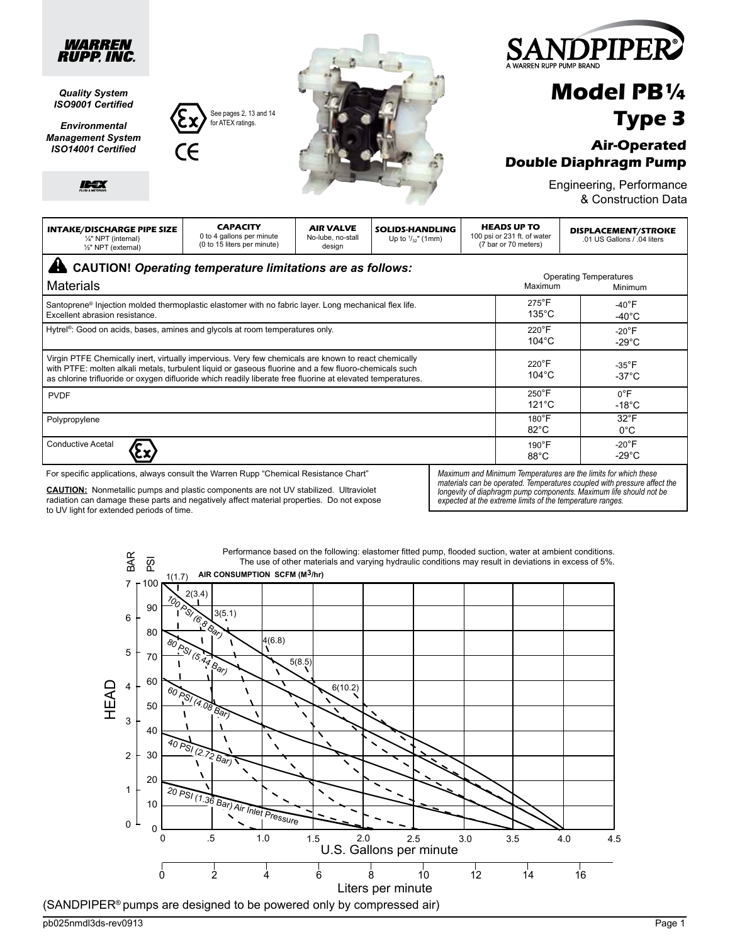

# **Model PB¼ Type 3**

### **Air-Operated Double Diaphragm Pump**

Engineering, Performance & Construction Data

Materials **INTAKE/DISCHARGE PIPE SIZE** ¼" NPT (internal) ½" NPT (external) **CAPACITY** 0 to 4 gallons per minute (0 to 15 liters per minute) **AIR VALVE** No-lube, no-stall design **SOLIDS-HANDLING** Up to  $\frac{1}{32}$ " (1mm) **HEADS UP TO** 100 psi or 231 ft. of water (7 bar or 70 meters) **DISPLACEMENT/STROKE** .01 US Gallons / .04 liters Maximum Operating Temperatures Minimum Santoprene® Injection molded thermoplastic elastomer with no fabric layer. Long mechanical flex life. Excellent abrasion resistance. Hytrel<sup>®</sup>: Good on acids, bases, amines and glycols at room temperatures only. Polypropylene PVDF Virgin PTFE Chemically inert, virtually impervious. Very few chemicals are known to react chemically with PTFE: molten alkali metals, turbulent liquid or gaseous fluorine and a few fluoro-chemicals such as chlorine trifluoride or oxygen difluoride which readily liberate free fluorine at elevated temperatures. Conductive Acetal 275°F 135°C -40°F -40°C 220°F 104°C 220°F 104°C 250°F 121°C 180°F 82°C 190°F 88°C -35°F -37°C -20°F -29°C 0°F -18°C **CAUTION!** *Operating temperature limitations are as follows:* -20°F -29°C 32°F 0°C *Maximum and Minimum Temperatures are the limits for which these*  For specific applications, always consult the Warren Rupp "Chemical Resistance Chart"

**CAUTION:** Nonmetallic pumps and plastic components are not UV stabilized. Ultraviolet radiation can damage these parts and negatively affect material properties. Do not expose to UV light for extended periods of time.

See pages 2, 13 and 14 for ATEX ratings. for ATEX ratings.

> *materials can be operated. Temperatures coupled with pressure affect the longevity of diaphragm pump components. Maximum life should not be expected at the extreme limits of the temperature ranges.*



 $(\mathsf{SANDPIPER}^\circ$  pumps are designed to be powered only by compressed air)

pb025nmdl3ds-rev0913 Page 1

*Quality System ISO9001 Certified Environmental Management System ISO14001 Certified*

IDEX

*WARREN RUPP. INC.*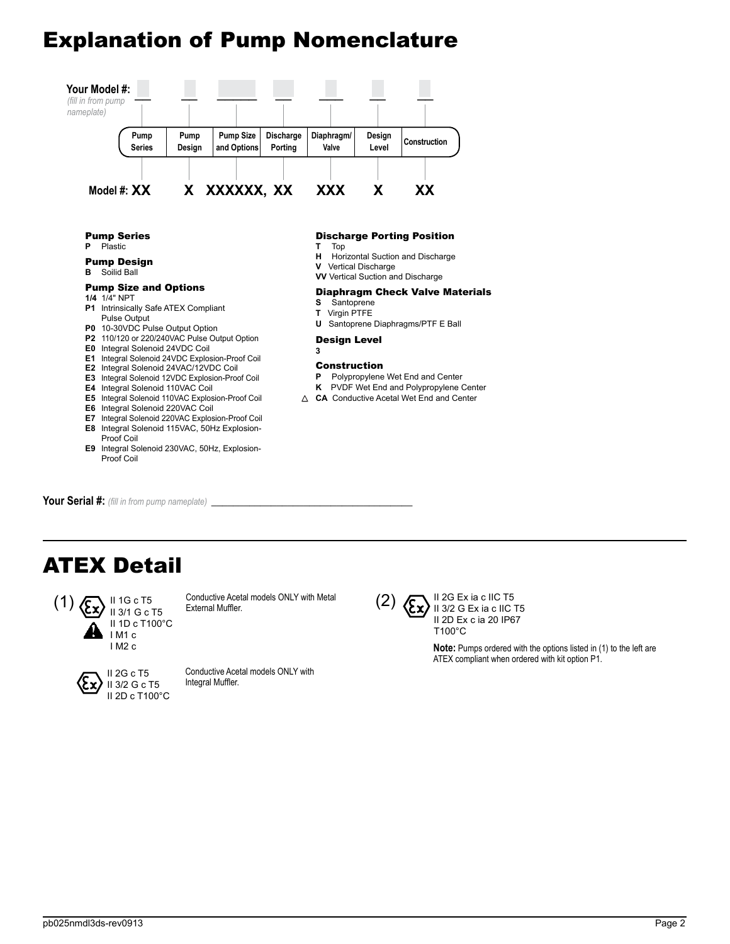# Explanation of Pump Nomenclature



**Pump Series**<br>P Plastic

**P** Plastic

#### Pump Design **B** Soilid Ball

#### Pump Size and Options

- **1/4** 1/4" NPT
- **P1** Intrinsically Safe ATEX Compliant Pulse Output
- **P0** 10-30VDC Pulse Output Option
- **P2** 110/120 or 220/240VAC Pulse Output Option
- **E0** Integral Solenoid 24VDC Coil
- **E1** Integral Solenoid 24VDC Explosion-Proof Coil
- **E2** Integral Solenoid 24VAC/12VDC Coil
- **E3** Integral Solenoid 12VDC Explosion-Proof Coil
- **E4** Integral Solenoid 110VAC Coil
- **E5** Integral Solenoid 110VAC Explosion-Proof Coil
- **E6** Integral Solenoid 220VAC Coil
- **E7** Integral Solenoid 220VAC Explosion-Proof Coil **E8** Integral Solenoid 115VAC, 50Hz Explosion-
- Proof Coil **E9** Integral Solenoid 230VAC, 50Hz, Explosion-

**Discharge Porting Position**<br>T Top

- **T** Top
- **H** Horizontal Suction and Discharge
- **V** Vertical Discharge
- **VV** Vertical Suction and Discharge

#### Diaphragm Check Valve Materials

- **S** Santoprene
- **T** Virgin PTFE

**3**

**U** Santoprene Diaphragms/PTF E Ball

#### Design Level

#### Construction

- **P** Polypropylene Wet End and Center
- **K** PVDF Wet End and Polypropylene Center
- △ **CA** Conductive Acetal Wet End and Center

Your Serial #: *(fill in from pump nameplate)* 

Proof Coil

## ATEX Detail



Conductive Acetal models ONLY with Metal External Muffler.



Conductive Acetal models ONLY with Integral Muffler.



II 2G Ex ia c IIC T5  $(2)$   $\left\langle \sum_{l} \right\rangle$  II 3/2 G Ex ia c IIC T5 II 2D Ex c ia 20 IP67 T100°C

> **Note:** Pumps ordered with the options listed in (1) to the left are ATEX compliant when ordered with kit option P1.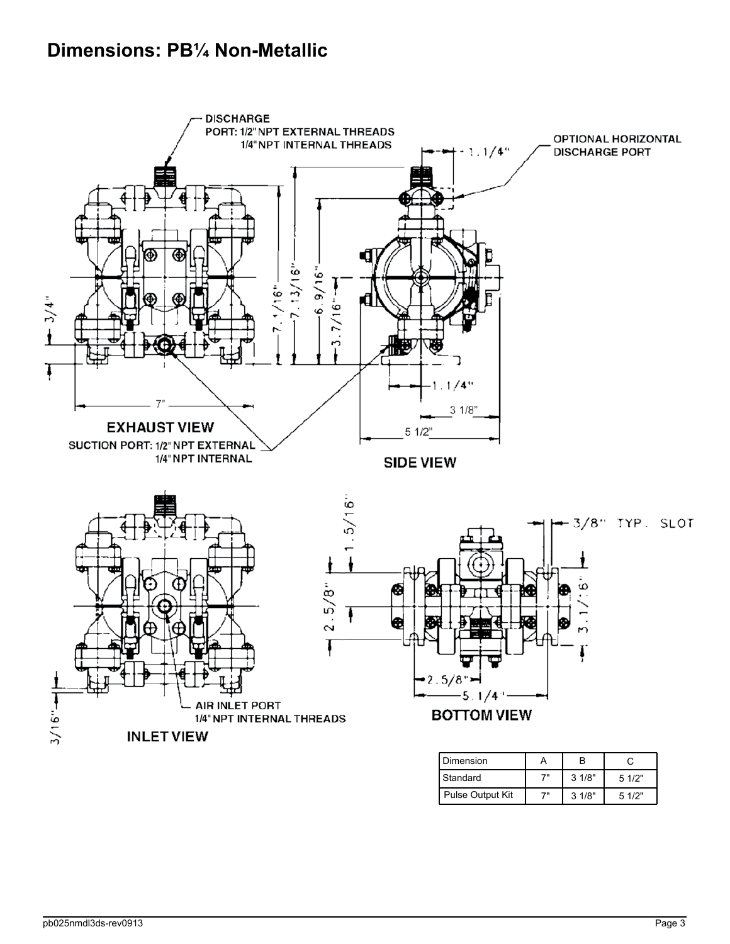## **Dimensions: PB¼ Non-Metallic**

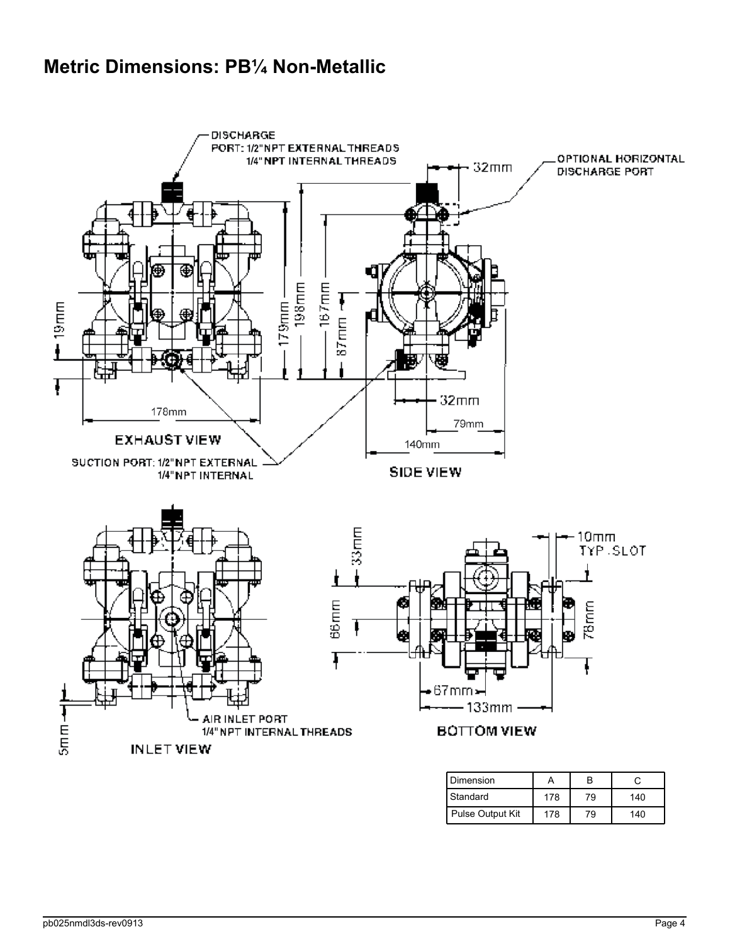## **Metric Dimensions: PB¼ Non-Metallic**

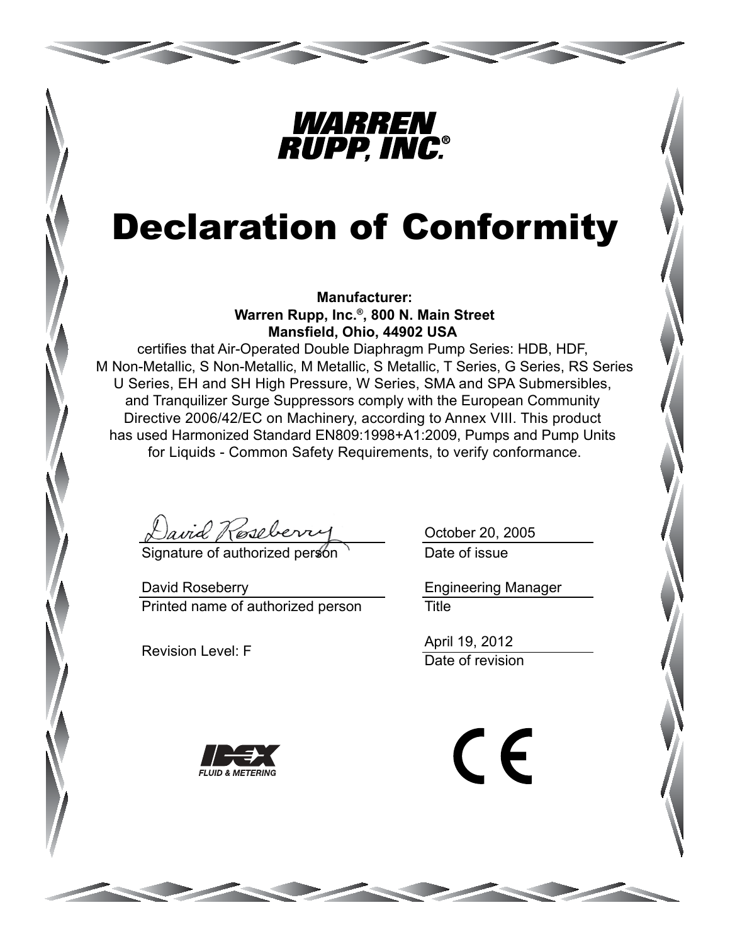

# Declaration of Conformity

**Manufacturer: Warren Rupp, Inc.®, 800 N. Main Street Mansfield, Ohio, 44902 USA**

certifies that Air-Operated Double Diaphragm Pump Series: HDB, HDF, M Non-Metallic, S Non-Metallic, M Metallic, S Metallic, T Series, G Series, RS Series U Series, EH and SH High Pressure, W Series, SMA and SPA Submersibles, and Tranquilizer Surge Suppressors comply with the European Community Directive 2006/42/EC on Machinery, according to Annex VIII. This product has used Harmonized Standard EN809:1998+A1:2009, Pumps and Pump Units for Liquids - Common Safety Requirements, to verify conformance.

avid Roseberry

Signature of authorized person

Printed name of authorized person David Roseberry

Revision Level: F

Date of issue October 20, 2005

**Title** Engineering Manager

Date of revision April 19, 2012



CE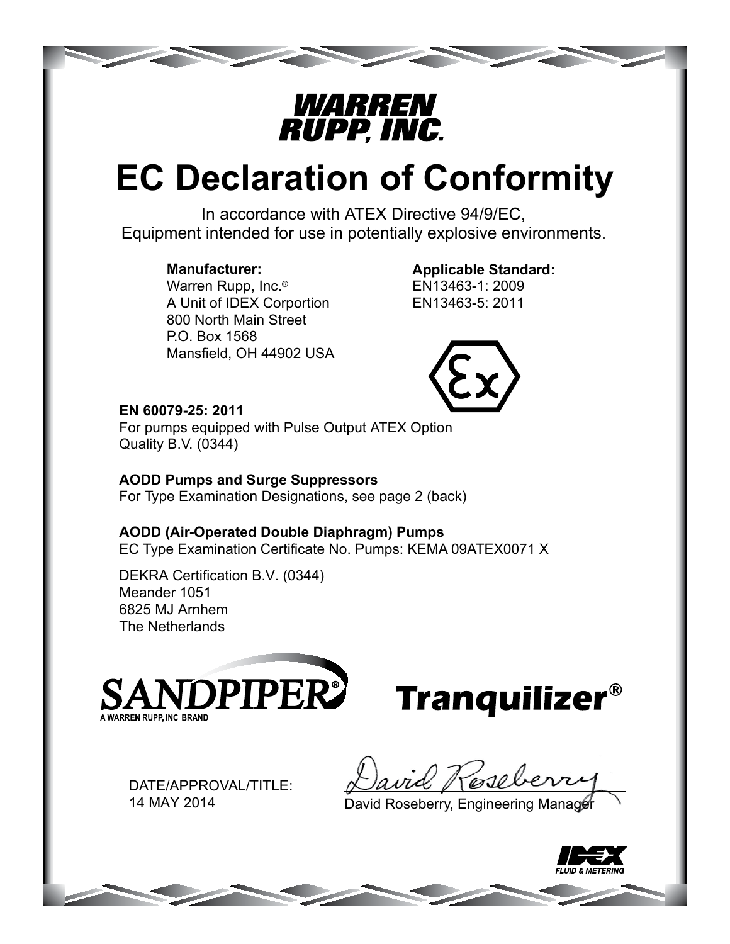

# **EC Declaration of Conformity**

In accordance with ATEX Directive 94/9/EC, Equipment intended for use in potentially explosive environments.

### **Manufacturer:**

Warren Rupp, Inc.® A Unit of IDEX Corportion 800 North Main Street P.O. Box 1568 Mansfield, OH 44902 USA

### **Applicable Standard:**

EN13463-1: 2009 EN13463-5: 2011



### **EN 60079-25: 2011**

For pumps equipped with Pulse Output ATEX Option Quality B.V. (0344)

## **AODD Pumps and Surge Suppressors**

For Type Examination Designations, see page 2 (back)

## **AODD (Air-Operated Double Diaphragm) Pumps**

EC Type Examination Certificate No. Pumps: KEMA 09ATEX0071 X

DEKRA Certification B.V. (0344) Meander 1051 6825 MJ Arnhem The Netherlands





DATE/APPROVAL/TITLE: 14 MAY 2014

Nesele

David Roseberry, Engineering Manager